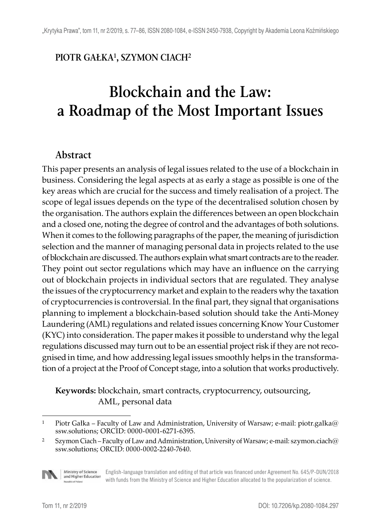#### **PIOTR GAŁKA1, SZYMON CIACH2**

# **Blockchain and the Law: a Roadmap of the Most Important Issues**

#### **Abstract**

This paper presents an analysis of legal issues related to the use of a blockchain in business. Considering the legal aspects at as early a stage as possible is one of the key areas which are crucial for the success and timely realisation of a project. The scope of legal issues depends on the type of the decentralised solution chosen by the organisation. The authors explain the differences between an open blockchain and a closed one, noting the degree of control and the advantages of both solutions. When it comes to the following paragraphs of the paper, the meaning of jurisdiction selection and the manner of managing personal data in projects related to the use of blockchain are discussed. The authors explain what smart contracts are to the reader. They point out sector regulations which may have an influence on the carrying out of blockchain projects in individual sectors that are regulated. They analyse the issues of the cryptocurrency market and explain to the readers why the taxation of cryptocurrencies is controversial. In the final part, they signal that organisations planning to implement a blockchain-based solution should take the Anti-Money Laundering (AML) regulations and related issues concerning Know Your Customer (KYC) into consideration. The paper makes it possible to understand why the legal regulations discussed may turn out to be an essential project risk if they are not recognised in time, and how addressing legal issues smoothly helps in the transformation of a project at the Proof of Concept stage, into a solution that works productively.

**Keywords:** blockchain, smart contracts, cryptocurrency, outsourcing, AML, personal data

<sup>&</sup>lt;sup>2</sup> Szymon Ciach – Faculty of Law and Administration, University of Warsaw; e-mail: szymon.ciach@ ssw.solutions; ORCID: 0000-0002-2240-7640.



Ministry of Science<br>and Higher Education English-language translation and editing of that article was financed under Agreement No. 645/P-DUN/2018 with funds from the Ministry of Science and Higher Education allocated to the popularization of science.

<sup>&</sup>lt;sup>1</sup> Piotr Gałka – Faculty of Law and Administration, University of Warsaw; e-mail: piotr.galka@ ssw.solutions; ORCID: 0000-0001-6271-6395.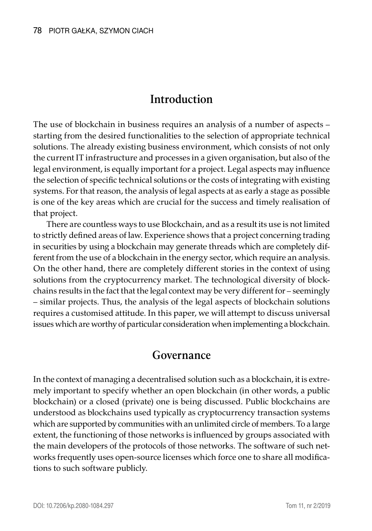# **Introduction**

The use of blockchain in business requires an analysis of a number of aspects – starting from the desired functionalities to the selection of appropriate technical solutions. The already existing business environment, which consists of not only the current IT infrastructure and processes in a given organisation, but also of the legal environment, is equally important for a project. Legal aspects may influence the selection of specific technical solutions or the costs of integrating with existing systems. For that reason, the analysis of legal aspects at as early a stage as possible is one of the key areas which are crucial for the success and timely realisation of that project.

There are countless ways to use Blockchain, and as a result its use is not limited to strictly defined areas of law. Experience shows that a project concerning trading in securities by using a blockchain may generate threads which are completely different from the use of a blockchain in the energy sector, which require an analysis. On the other hand, there are completely different stories in the context of using solutions from the cryptocurrency market. The technological diversity of blockchains results in the fact that the legal context may be very different for – seemingly – similar projects. Thus, the analysis of the legal aspects of blockchain solutions requires a customised attitude. In this paper, we will attempt to discuss universal issues which are worthy of particular consideration when implementing a blockchain.

#### **Governance**

In the context of managing a decentralised solution such as a blockchain, it is extremely important to specify whether an open blockchain (in other words, a public blockchain) or a closed (private) one is being discussed. Public blockchains are understood as blockchains used typically as cryptocurrency transaction systems which are supported by communities with an unlimited circle of members. To a large extent, the functioning of those networks is influenced by groups associated with the main developers of the protocols of those networks. The software of such networks frequently uses open-source licenses which force one to share all modifications to such software publicly.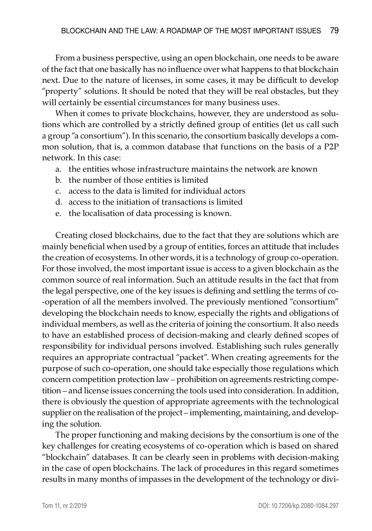From a business perspective, using an open blockchain, one needs to be aware of the fact that one basically has no influence over what happens to that blockchain next. Due to the nature of licenses, in some cases, it may be difficult to develop "property" solutions. It should be noted that they will be real obstacles, but they will certainly be essential circumstances for many business uses.

When it comes to private blockchains, however, they are understood as solutions which are controlled by a strictly defined group of entities (let us call such a group "a consortium"). In this scenario, the consortium basically develops a common solution, that is, a common database that functions on the basis of a P2P network. In this case:

- a. the entities whose infrastructure maintains the network are known
- b. the number of those entities is limited
- c. access to the data is limited for individual actors
- d. access to the initiation of transactions is limited
- e. the localisation of data processing is known.

Creating closed blockchains, due to the fact that they are solutions which are mainly beneficial when used by a group of entities, forces an attitude that includes the creation of ecosystems. In other words, it is a technology of group co-operation. For those involved, the most important issue is access to a given blockchain as the common source of real information. Such an attitude results in the fact that from the legal perspective, one of the key issues is defining and settling the terms of co- -operation of all the members involved. The previously mentioned "consortium" developing the blockchain needs to know, especially the rights and obligations of individual members, as well as the criteria of joining the consortium. It also needs to have an established process of decision-making and clearly defined scopes of responsibility for individual persons involved. Establishing such rules generally requires an appropriate contractual "packet". When creating agreements for the purpose of such co-operation, one should take especially those regulations which concern competition protection law – prohibition on agreements restricting competition – and license issues concerning the tools used into consideration. In addition, there is obviously the question of appropriate agreements with the technological supplier on the realisation of the project – implementing, maintaining, and developing the solution.

The proper functioning and making decisions by the consortium is one of the key challenges for creating ecosystems of co-operation which is based on shared "blockchain" databases. It can be clearly seen in problems with decision-making in the case of open blockchains. The lack of procedures in this regard sometimes results in many months of impasses in the development of the technology or divi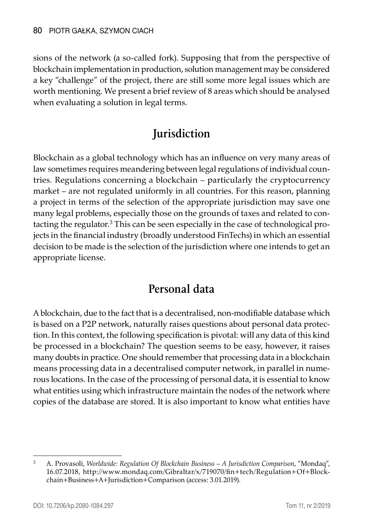sions of the network (a so-called fork). Supposing that from the perspective of blockchain implementation in production, solution management may be considered a key "challenge" of the project, there are still some more legal issues which are worth mentioning. We present a brief review of 8 areas which should be analysed when evaluating a solution in legal terms.

# **Jurisdiction**

Blockchain as a global technology which has an influence on very many areas of law sometimes requires meandering between legal regulations of individual countries. Regulations concerning a blockchain – particularly the cryptocurrency market – are not regulated uniformly in all countries. For this reason, planning a project in terms of the selection of the appropriate jurisdiction may save one many legal problems, especially those on the grounds of taxes and related to contacting the regulator.<sup>3</sup> This can be seen especially in the case of technological projects in the financial industry (broadly understood FinTechs) in which an essential decision to be made is the selection of the jurisdiction where one intends to get an appropriate license.

# **Personal data**

A blockchain, due to the fact that is a decentralised, non-modifiable database which is based on a P2P network, naturally raises questions about personal data protection. In this context, the following specification is pivotal: will any data of this kind be processed in a blockchain? The question seems to be easy, however, it raises many doubts in practice. One should remember that processing data in a blockchain means processing data in a decentralised computer network, in parallel in numerous locations. In the case of the processing of personal data, it is essential to know what entities using which infrastructure maintain the nodes of the network where copies of the database are stored. It is also important to know what entities have

<sup>3</sup> A. Provasoli, *Worldwide: Regulation Of Blockchain Business – A Jurisdiction Comparison*, "Mondaq", 16.07.2018, http://www.mondaq.com/Gibraltar/x/719070/fin+tech/Regulation+Of+Blockchain+Business+A+Jurisdiction+Comparison (access: 3.01.2019).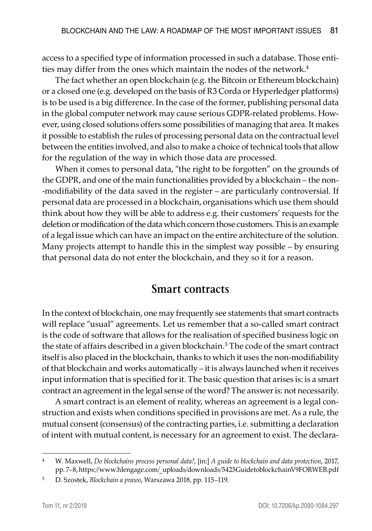access to a specified type of information processed in such a database. Those entities may differ from the ones which maintain the nodes of the network.<sup>4</sup>

The fact whether an open blockchain (e.g. the Bitcoin or Ethereum blockchain) or a closed one (e.g. developed on the basis of R3 Corda or Hyperledger platforms) is to be used is a big difference. In the case of the former, publishing personal data in the global computer network may cause serious GDPR-related problems. However, using closed solutions offers some possibilities of managing that area. It makes it possible to establish the rules of processing personal data on the contractual level between the entities involved, and also to make a choice of technical tools that allow for the regulation of the way in which those data are processed.

When it comes to personal data, "the right to be forgotten" on the grounds of the GDPR, and one of the main functionalities provided by a blockchain – the non- -modifiability of the data saved in the register – are particularly controversial. If personal data are processed in a blockchain, organisations which use them should think about how they will be able to address e.g. their customers' requests for the deletion or modification of the data which concern those customers. This is an example of a legal issue which can have an impact on the entire architecture of the solution. Many projects attempt to handle this in the simplest way possible – by ensuring that personal data do not enter the blockchain, and they so it for a reason.

#### **Smart contracts**

In the context of blockchain, one may frequently see statements that smart contracts will replace "usual" agreements. Let us remember that a so-called smart contract is the code of software that allows for the realisation of specified business logic on the state of affairs described in a given blockchain.<sup>5</sup> The code of the smart contract itself is also placed in the blockchain, thanks to which it uses the non-modifiability of that blockchain and works automatically – it is always launched when it receives input information that is specified for it. The basic question that arises is: is a smart contract an agreement in the legal sense of the word? The answer is: not necessarily.

A smart contract is an element of reality, whereas an agreement is a legal construction and exists when conditions specified in provisions are met. As a rule, the mutual consent (consensus) of the contracting parties, i.e. submitting a declaration of intent with mutual content, is necessary for an agreement to exist. The declara-

<sup>4</sup> W. Maxwell, *Do blockchains process personal data?*, [in:] *A guide to blockchain and data protection*, 2017, pp. 7–8, https://www.hlengage.com/\_uploads/downloads/5425GuidetoblockchainV9FORWEB.pdf

<sup>5</sup> D. Szostek, *Blockchain a prawo*, Warszawa 2018, pp. 115–119.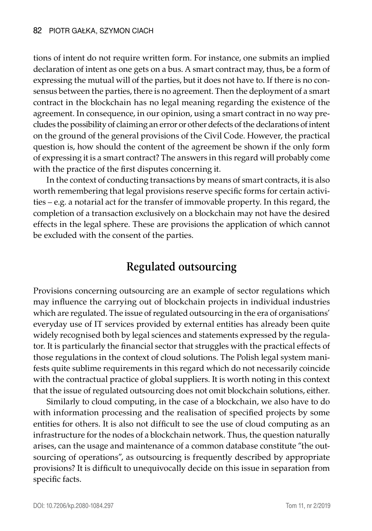tions of intent do not require written form. For instance, one submits an implied declaration of intent as one gets on a bus. A smart contract may, thus, be a form of expressing the mutual will of the parties, but it does not have to. If there is no consensus between the parties, there is no agreement. Then the deployment of a smart contract in the blockchain has no legal meaning regarding the existence of the agreement. In consequence, in our opinion, using a smart contract in no way precludes the possibility of claiming an error or other defects of the declarations of intent on the ground of the general provisions of the Civil Code. However, the practical question is, how should the content of the agreement be shown if the only form of expressing it is a smart contract? The answers in this regard will probably come with the practice of the first disputes concerning it.

In the context of conducting transactions by means of smart contracts, it is also worth remembering that legal provisions reserve specific forms for certain activities – e.g. a notarial act for the transfer of immovable property. In this regard, the completion of a transaction exclusively on a blockchain may not have the desired effects in the legal sphere. These are provisions the application of which cannot be excluded with the consent of the parties.

#### **Regulated outsourcing**

Provisions concerning outsourcing are an example of sector regulations which may influence the carrying out of blockchain projects in individual industries which are regulated. The issue of regulated outsourcing in the era of organisations' everyday use of IT services provided by external entities has already been quite widely recognised both by legal sciences and statements expressed by the regulator. It is particularly the financial sector that struggles with the practical effects of those regulations in the context of cloud solutions. The Polish legal system manifests quite sublime requirements in this regard which do not necessarily coincide with the contractual practice of global suppliers. It is worth noting in this context that the issue of regulated outsourcing does not omit blockchain solutions, either.

Similarly to cloud computing, in the case of a blockchain, we also have to do with information processing and the realisation of specified projects by some entities for others. It is also not difficult to see the use of cloud computing as an infrastructure for the nodes of a blockchain network. Thus, the question naturally arises, can the usage and maintenance of a common database constitute "the outsourcing of operations", as outsourcing is frequently described by appropriate provisions? It is difficult to unequivocally decide on this issue in separation from specific facts.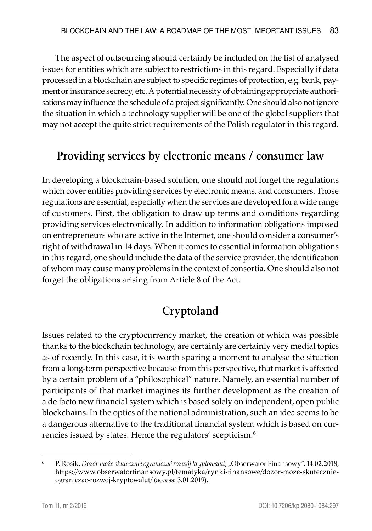The aspect of outsourcing should certainly be included on the list of analysed issues for entities which are subject to restrictions in this regard. Especially if data processed in a blockchain are subject to specific regimes of protection, e.g. bank, payment or insurance secrecy, etc. A potential necessity of obtaining appropriate authorisations may influence the schedule of a project significantly. One should also not ignore the situation in which a technology supplier will be one of the global suppliers that may not accept the quite strict requirements of the Polish regulator in this regard.

## **Providing services by electronic means / consumer law**

In developing a blockchain-based solution, one should not forget the regulations which cover entities providing services by electronic means, and consumers. Those regulations are essential, especially when the services are developed for a wide range of customers. First, the obligation to draw up terms and conditions regarding providing services electronically. In addition to information obligations imposed on entrepreneurs who are active in the Internet, one should consider a consumer's right of withdrawal in 14 days. When it comes to essential information obligations in this regard, one should include the data of the service provider, the identification of whom may cause many problems in the context of consortia. One should also not forget the obligations arising from Article 8 of the Act.

# **Cryptoland**

Issues related to the cryptocurrency market, the creation of which was possible thanks to the blockchain technology, are certainly are certainly very medial topics as of recently. In this case, it is worth sparing a moment to analyse the situation from a long-term perspective because from this perspective, that market is affected by a certain problem of a "philosophical" nature. Namely, an essential number of participants of that market imagines its further development as the creation of a de facto new financial system which is based solely on independent, open public blockchains. In the optics of the national administration, such an idea seems to be a dangerous alternative to the traditional financial system which is based on currencies issued by states. Hence the regulators' scepticism.6

<sup>6</sup> P. Rosik, *Dozór może skutecznie ograniczać rozwój kryptowalut*, "Obserwator Finansowy", 14.02.2018, https://www.obserwatorfinansowy.pl/tematyka/rynki-finansowe/dozor-moze-skutecznieograniczac-rozwoj-kryptowalut/ (access: 3.01.2019).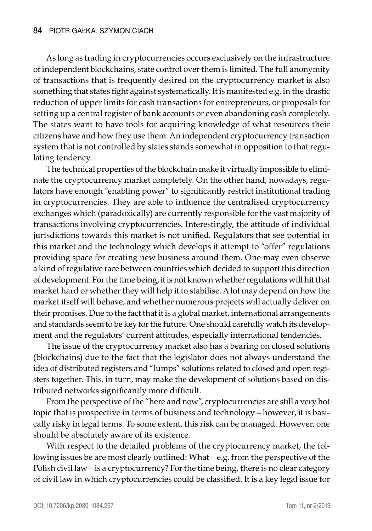As long as trading in cryptocurrencies occurs exclusively on the infrastructure of independent blockchains, state control over them is limited. The full anonymity of transactions that is frequently desired on the cryptocurrency market is also something that states fight against systematically. It is manifested e.g. in the drastic reduction of upper limits for cash transactions for entrepreneurs, or proposals for setting up a central register of bank accounts or even abandoning cash completely. The states want to have tools for acquiring knowledge of what resources their citizens have and how they use them. An independent cryptocurrency transaction system that is not controlled by states stands somewhat in opposition to that regulating tendency.

The technical properties of the blockchain make it virtually impossible to eliminate the cryptocurrency market completely. On the other hand, nowadays, regulators have enough "enabling power" to significantly restrict institutional trading in cryptocurrencies. They are able to influence the centralised cryptocurrency exchanges which (paradoxically) are currently responsible for the vast majority of transactions involving cryptocurrencies. Interestingly, the attitude of individual jurisdictions towards this market is not unified. Regulators that see potential in this market and the technology which develops it attempt to "offer" regulations providing space for creating new business around them. One may even observe a kind of regulative race between countries which decided to support this direction of development. For the time being, it is not known whether regulations will hit that market hard or whether they will help it to stabilise. A lot may depend on how the market itself will behave, and whether numerous projects will actually deliver on their promises. Due to the fact that it is a global market, international arrangements and standards seem to be key for the future. One should carefully watch its development and the regulators' current attitudes, especially international tendencies.

The issue of the cryptocurrency market also has a bearing on closed solutions (blockchains) due to the fact that the legislator does not always understand the idea of distributed registers and "lumps" solutions related to closed and open registers together. This, in turn, may make the development of solutions based on distributed networks significantly more difficult.

From the perspective of the "here and now", cryptocurrencies are still a very hot topic that is prospective in terms of business and technology – however, it is basically risky in legal terms. To some extent, this risk can be managed. However, one should be absolutely aware of its existence.

With respect to the detailed problems of the cryptocurrency market, the following issues be are most clearly outlined: What – e.g. from the perspective of the Polish civil law – is a cryptocurrency? For the time being, there is no clear category of civil law in which cryptocurrencies could be classified. It is a key legal issue for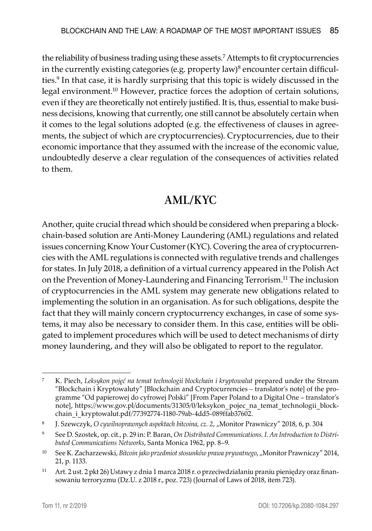the reliability of business trading using these assets.7 Attempts to fit cryptocurrencies in the currently existing categories (e.g. property law) $^8$  encounter certain difficulties.9 In that case, it is hardly surprising that this topic is widely discussed in the legal environment.10 However, practice forces the adoption of certain solutions, even if they are theoretically not entirely justified. It is, thus, essential to make business decisions, knowing that currently, one still cannot be absolutely certain when it comes to the legal solutions adopted (e.g. the effectiveness of clauses in agreements, the subject of which are cryptocurrencies). Cryptocurrencies, due to their economic importance that they assumed with the increase of the economic value, undoubtedly deserve a clear regulation of the consequences of activities related to them.

## **AML/KYC**

Another, quite crucial thread which should be considered when preparing a blockchain-based solution are Anti-Money Laundering (AML) regulations and related issues concerning Know Your Customer (KYC). Covering the area of cryptocurrencies with the AML regulations is connected with regulative trends and challenges for states. In July 2018, a definition of a virtual currency appeared in the Polish Act on the Prevention of Money-Laundering and Financing Terrorism.<sup>11</sup> The inclusion of cryptocurrencies in the AML system may generate new obligations related to implementing the solution in an organisation. As for such obligations, despite the fact that they will mainly concern cryptocurrency exchanges, in case of some systems, it may also be necessary to consider them. In this case, entities will be obligated to implement procedures which will be used to detect mechanisms of dirty money laundering, and they will also be obligated to report to the regulator.

<sup>7</sup> K. Piech, *Leksykon pojęć na temat technologii blockchain i kryptowalut* prepared under the Stream "Blockchain i Kryptowaluty" [Blockchain and Cryptocurrencies – translator's note] of the programme "Od papierowej do cyfrowej Polski" [From Paper Poland to a Digital One – translator's note], https://www.gov.pl/documents/31305/0/leksykon\_pojec\_na\_temat\_technologii\_blockchain\_i\_kryptowalut.pdf/77392774-1180-79ab-4dd5-089ffab37602.

<sup>8</sup> J. Szewczyk, O cywilnoprawnych aspektach bitcoina, cz. 2, "Monitor Prawniczy" 2018, 6, p. 304

<sup>9</sup> See D. Szostek, op. cit., p. 29 in: P. Baran, *On Distributed Communications. I. An Introduction to Distributed Communications Networks*, Santa Monica 1962, pp. 8–9.

<sup>&</sup>lt;sup>10</sup> See K. Zacharzewski, *Bitcoin jako przedmiot stosunków prawa prywatnego*, "Monitor Prawniczy" 2014, 21, p. 1133.

<sup>11</sup> Art. 2 ust. 2 pkt 26) Ustawy z dnia 1 marca 2018 r. o przeciwdziałaniu praniu pieniędzy oraz finansowaniu terroryzmu (Dz.U. z 2018 r., poz. 723) (Journal of Laws of 2018, item 723).